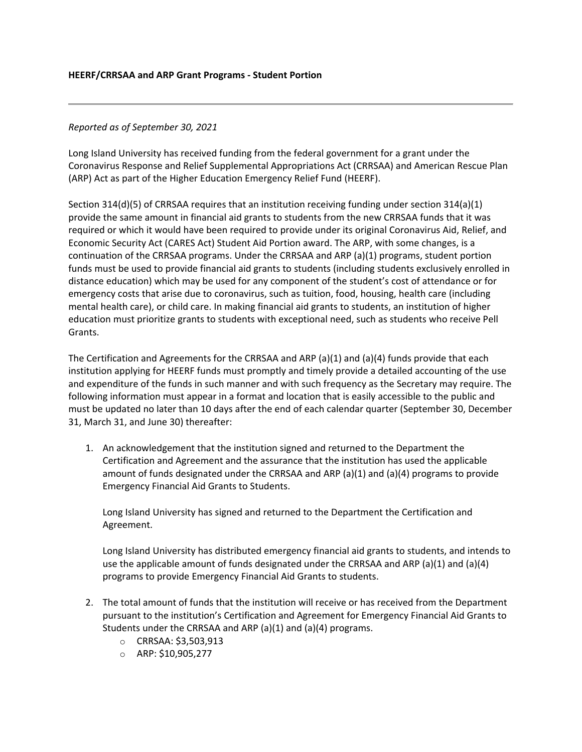## *Reported as of September 30, 2021*

Long Island University has received funding from the federal government for a grant under the Coronavirus Response and Relief Supplemental Appropriations Act (CRRSAA) and American Rescue Plan (ARP) Act as part of the Higher Education Emergency Relief Fund (HEERF).

Section 314(d)(5) of CRRSAA requires that an institution receiving funding under section 314(a)(1) provide the same amount in financial aid grants to students from the new CRRSAA funds that it was required or which it would have been required to provide under its original Coronavirus Aid, Relief, and Economic Security Act (CARES Act) Student Aid Portion award. The ARP, with some changes, is a continuation of the CRRSAA programs. Under the CRRSAA and ARP (a)(1) programs, student portion funds must be used to provide financial aid grants to students (including students exclusively enrolled in distance education) which may be used for any component of the student's cost of attendance or for emergency costs that arise due to coronavirus, such as tuition, food, housing, health care (including mental health care), or child care. In making financial aid grants to students, an institution of higher education must prioritize grants to students with exceptional need, such as students who receive Pell Grants.

The Certification and Agreements for the CRRSAA and ARP (a)(1) and (a)(4) funds provide that each institution applying for HEERF funds must promptly and timely provide a detailed accounting of the use and expenditure of the funds in such manner and with such frequency as the Secretary may require. The following information must appear in a format and location that is easily accessible to the public and must be updated no later than 10 days after the end of each calendar quarter (September 30, December 31, March 31, and June 30) thereafter:

1. An acknowledgement that the institution signed and returned to the Department the Certification and Agreement and the assurance that the institution has used the applicable amount of funds designated under the CRRSAA and ARP (a)(1) and (a)(4) programs to provide Emergency Financial Aid Grants to Students.

Long Island University has signed and returned to the Department the Certification and Agreement.

Long Island University has distributed emergency financial aid grants to students, and intends to use the applicable amount of funds designated under the CRRSAA and ARP (a)(1) and (a)(4) programs to provide Emergency Financial Aid Grants to students.

- 2. The total amount of funds that the institution will receive or has received from the Department pursuant to the institution's Certification and Agreement for Emergency Financial Aid Grants to Students under the CRRSAA and ARP (a)(1) and (a)(4) programs.
	- o CRRSAA: \$3,503,913
	- o ARP: \$10,905,277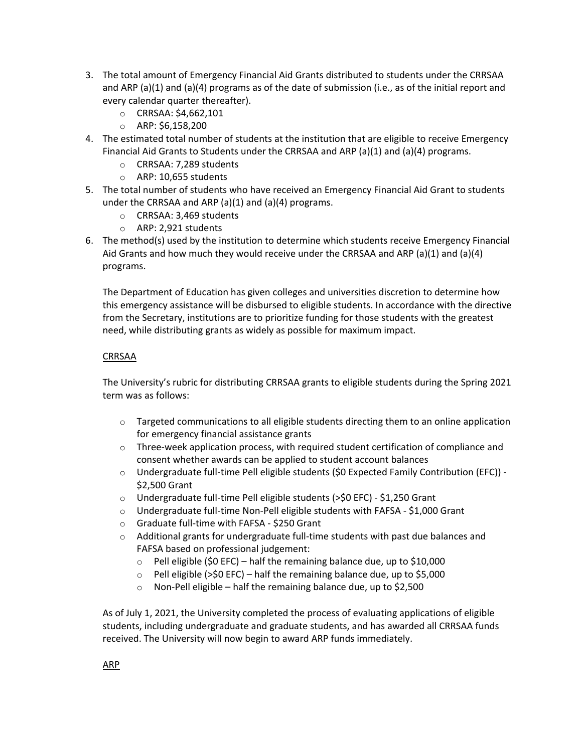- 3. The total amount of Emergency Financial Aid Grants distributed to students under the CRRSAA and ARP (a)(1) and (a)(4) programs as of the date of submission (i.e., as of the initial report and every calendar quarter thereafter).
	- o CRRSAA: \$4,662,101
	- o ARP: \$6,158,200
- 4. The estimated total number of students at the institution that are eligible to receive Emergency Financial Aid Grants to Students under the CRRSAA and ARP (a)(1) and (a)(4) programs.
	- o CRRSAA: 7,289 students
	- o ARP: 10,655 students
- 5. The total number of students who have received an Emergency Financial Aid Grant to students under the CRRSAA and ARP (a)(1) and (a)(4) programs.
	- o CRRSAA: 3,469 students
	- o ARP: 2,921 students
- 6. The method(s) used by the institution to determine which students receive Emergency Financial Aid Grants and how much they would receive under the CRRSAA and ARP (a)(1) and (a)(4) programs.

The Department of Education has given colleges and universities discretion to determine how this emergency assistance will be disbursed to eligible students. In accordance with the directive from the Secretary, institutions are to prioritize funding for those students with the greatest need, while distributing grants as widely as possible for maximum impact.

## CRRSAA

The University's rubric for distributing CRRSAA grants to eligible students during the Spring 2021 term was as follows:

- $\circ$  Targeted communications to all eligible students directing them to an online application for emergency financial assistance grants
- $\circ$  Three-week application process, with required student certification of compliance and consent whether awards can be applied to student account balances
- o Undergraduate full‐time Pell eligible students (\$0 Expected Family Contribution (EFC)) ‐ \$2,500 Grant
- o Undergraduate full‐time Pell eligible students (˃\$0 EFC) ‐ \$1,250 Grant
- o Undergraduate full‐time Non‐Pell eligible students with FAFSA ‐ \$1,000 Grant
- o Graduate full‐time with FAFSA ‐ \$250 Grant
- $\circ$  Additional grants for undergraduate full-time students with past due balances and FAFSA based on professional judgement:
	- $\degree$  Pell eligible (\$0 EFC) half the remaining balance due, up to \$10,000
	- $\circ$  Pell eligible (>\$0 EFC) half the remaining balance due, up to \$5,000
	- o Non‐Pell eligible half the remaining balance due, up to \$2,500

As of July 1, 2021, the University completed the process of evaluating applications of eligible students, including undergraduate and graduate students, and has awarded all CRRSAA funds received. The University will now begin to award ARP funds immediately.